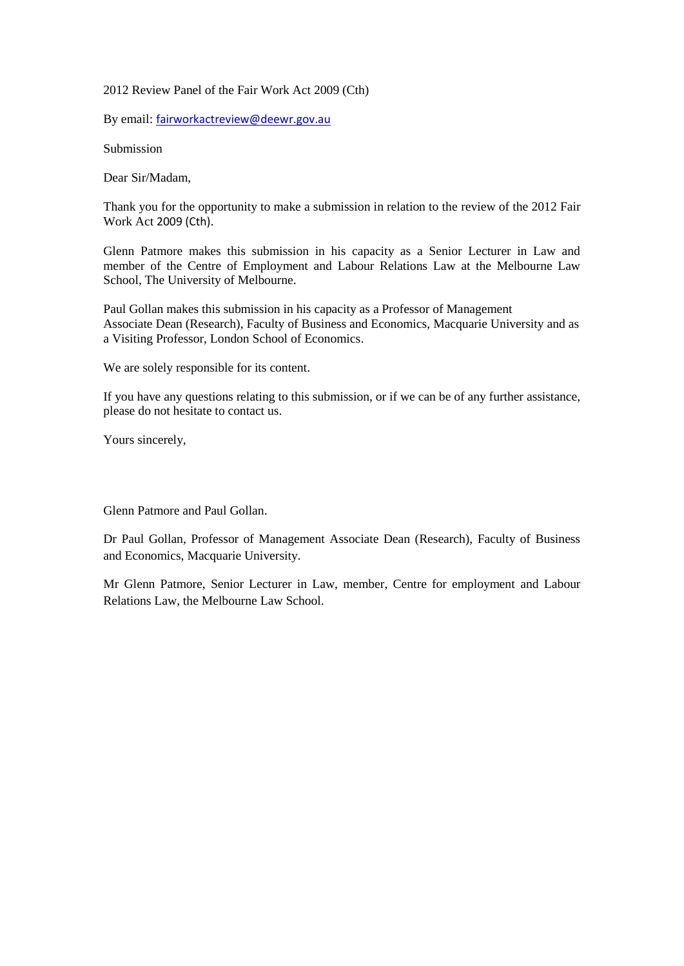2012 Review Panel of the Fair Work Act 2009 (Cth)

By email: [fairworkactreview@deewr.gov.au](mailto:fairworkactreview@deewr.gov.au)

Submission

Dear Sir/Madam,

Thank you for the opportunity to make a submission in relation to the review of the 2012 Fair Work Act 2009 (Cth).

Glenn Patmore makes this submission in his capacity as a Senior Lecturer in Law and member of the Centre of Employment and Labour Relations Law at the Melbourne Law School, The University of Melbourne.

Paul Gollan makes this submission in his capacity as a Professor of Management Associate Dean (Research), Faculty of Business and Economics, Macquarie University and as a Visiting Professor, London School of Economics.

We are solely responsible for its content.

If you have any questions relating to this submission, or if we can be of any further assistance, please do not hesitate to contact us.

Yours sincerely,

Glenn Patmore and Paul Gollan.

Dr Paul Gollan, Professor of Management Associate Dean (Research), Faculty of Business and Economics, Macquarie University.

Mr Glenn Patmore, Senior Lecturer in Law, member, Centre for employment and Labour Relations Law, the Melbourne Law School.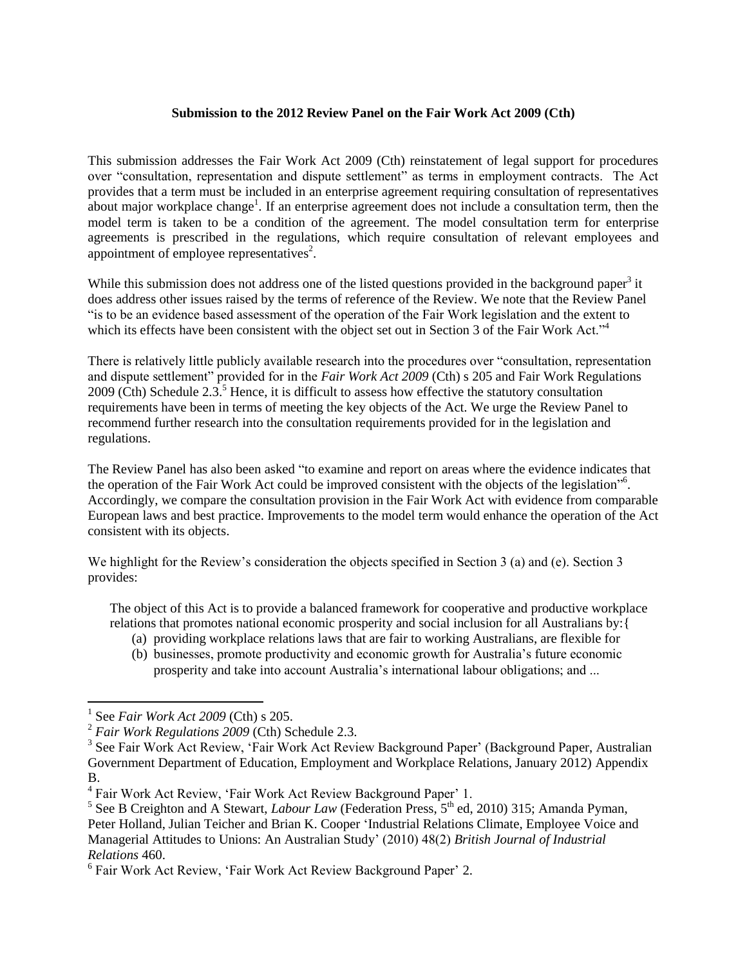## **Submission to the 2012 Review Panel on the Fair Work Act 2009 (Cth)**

This submission addresses the Fair Work Act 2009 (Cth) reinstatement of legal support for procedures over "consultation, representation and dispute settlement" as terms in employment contracts. The Act provides that a term must be included in an enterprise agreement requiring consultation of representatives about major workplace change<sup>1</sup>. If an enterprise agreement does not include a consultation term, then the model term is taken to be a condition of the agreement. The model consultation term for enterprise agreements is prescribed in the regulations, which require consultation of relevant employees and appointment of employee representatives<sup>2</sup>.

While this submission does not address one of the listed questions provided in the background paper<sup>3</sup> it does address other issues raised by the terms of reference of the Review. We note that the Review Panel "is to be an evidence based assessment of the operation of the Fair Work legislation and the extent to which its effects have been consistent with the object set out in Section 3 of the Fair Work Act."<sup>4</sup>

There is relatively little publicly available research into the procedures over "consultation, representation and dispute settlement" provided for in the *Fair Work Act 2009* (Cth) s 205 and Fair Work Regulations 2009 (Cth) Schedule 2.3.<sup>5</sup> Hence, it is difficult to assess how effective the statutory consultation requirements have been in terms of meeting the key objects of the Act. We urge the Review Panel to recommend further research into the consultation requirements provided for in the legislation and regulations.

The Review Panel has also been asked "to examine and report on areas where the evidence indicates that the operation of the Fair Work Act could be improved consistent with the objects of the legislation"<sup>6</sup>. Accordingly, we compare the consultation provision in the Fair Work Act with evidence from comparable European laws and best practice. Improvements to the model term would enhance the operation of the Act consistent with its objects.

We highlight for the Review's consideration the objects specified in Section 3 (a) and (e). Section 3 provides:

The object of this Act is to provide a balanced framework for cooperative and productive workplace relations that promotes national economic prosperity and social inclusion for all Australians by:{

- (a) providing workplace relations laws that are fair to working Australians, are flexible for
- (b) businesses, promote productivity and economic growth for Australia's future economic prosperity and take into account Australia's international labour obligations; and ...

l

<sup>1</sup> See *Fair Work Act 2009* (Cth) s 205.

<sup>2</sup> *Fair Work Regulations 2009* (Cth) Schedule 2.3.

<sup>&</sup>lt;sup>3</sup> See Fair Work Act Review, 'Fair Work Act Review Background Paper' (Background Paper, Australian Government Department of Education, Employment and Workplace Relations, January 2012) Appendix B.

<sup>4</sup> Fair Work Act Review, 'Fair Work Act Review Background Paper' 1.

<sup>&</sup>lt;sup>5</sup> See B Creighton and A Stewart, *Labour Law* (Federation Press, 5<sup>th</sup> ed, 2010) 315; Amanda Pyman, Peter Holland, Julian Teicher and Brian K. Cooper ['Industrial Relations Climate, Employee Voice and](http://onlinelibrary.wiley.com/doi/10.1111/j.1467-8543.2009.00772.x/full)  [Managerial Attitudes to Unions: An Australian Study'](http://onlinelibrary.wiley.com/doi/10.1111/j.1467-8543.2009.00772.x/full) (2010) 48(2) *British Journal of Industrial Relations* 460.

<sup>6</sup> Fair Work Act Review, 'Fair Work Act Review Background Paper' 2.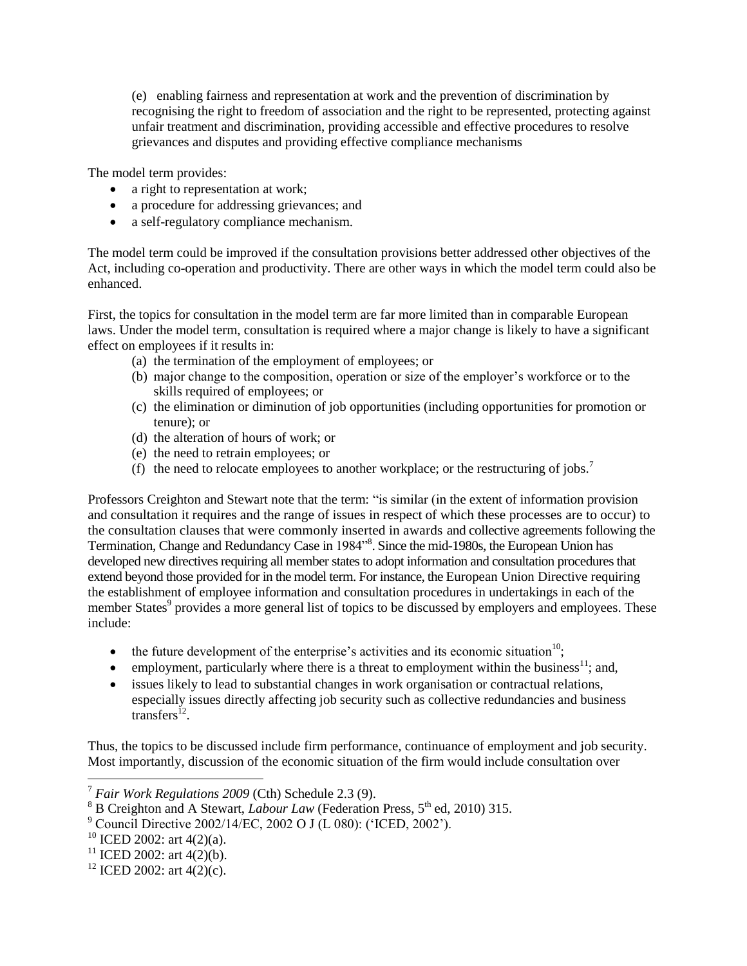(e) enabling fairness and representation at work and the prevention of discrimination by recognising the right to freedom of association and the right to be represented, protecting against unfair treatment and discrimination, providing accessible and effective procedures to resolve grievances and disputes and providing effective compliance mechanisms

The model term provides:

- a right to representation at work;
- a procedure for addressing grievances; and
- a self-regulatory compliance mechanism.

The model term could be improved if the consultation provisions better addressed other objectives of the Act, including co-operation and productivity. There are other ways in which the model term could also be enhanced.

First, the topics for consultation in the model term are far more limited than in comparable European laws. Under the model term, consultation is required where a major change is likely to have a significant effect on employees if it results in:

- (a) the termination of the employment of employees; or
- (b) major change to the composition, operation or size of the employer's workforce or to the skills required of employees; or
- (c) the elimination or diminution of job opportunities (including opportunities for promotion or tenure); or
- (d) the alteration of hours of work; or
- (e) the need to retrain employees; or
- (f) the need to relocate employees to another workplace; or the restructuring of jobs.<sup>7</sup>

Professors Creighton and Stewart note that the term: "is similar (in the extent of information provision and consultation it requires and the range of issues in respect of which these processes are to occur) to the consultation clauses that were commonly inserted in awards and collective agreements following the Termination, Change and Redundancy Case in 1984<sup>78</sup>. Since the mid-1980s, the European Union has developed new directives requiring all member states to adopt information and consultation procedures that extend beyond those provided for in the model term. For instance, the European Union Directive requiring the establishment of employee information and consultation procedures in undertakings in each of the member States<sup>9</sup> provides a more general list of topics to be discussed by employers and employees. These include:

- $\bullet$  the future development of the enterprise's activities and its economic situation<sup>10</sup>;
- employment, particularly where there is a threat to employment within the business<sup>11</sup>; and,
- issues likely to lead to substantial changes in work organisation or contractual relations, especially issues directly affecting job security such as collective redundancies and business transfers<sup> $12$ </sup>.

Thus, the topics to be discussed include firm performance, continuance of employment and job security. Most importantly, discussion of the economic situation of the firm would include consultation over

 $\overline{a}$ 

<sup>7</sup> *Fair Work Regulations 2009* (Cth) Schedule 2.3 (9).

<sup>&</sup>lt;sup>8</sup> B Creighton and A Stewart, *Labour Law* (Federation Press, 5<sup>th</sup> ed, 2010) 315.

<sup>9</sup> Council Directive 2002/14/EC, 2002 O J (L 080): ('ICED, 2002').

<sup>&</sup>lt;sup>10</sup> ICED 2002: art  $4(2)(a)$ .

<sup>&</sup>lt;sup>11</sup> ICED 2002: art  $4(2)(b)$ .

<sup>&</sup>lt;sup>12</sup> ICED 2002: art 4(2)(c).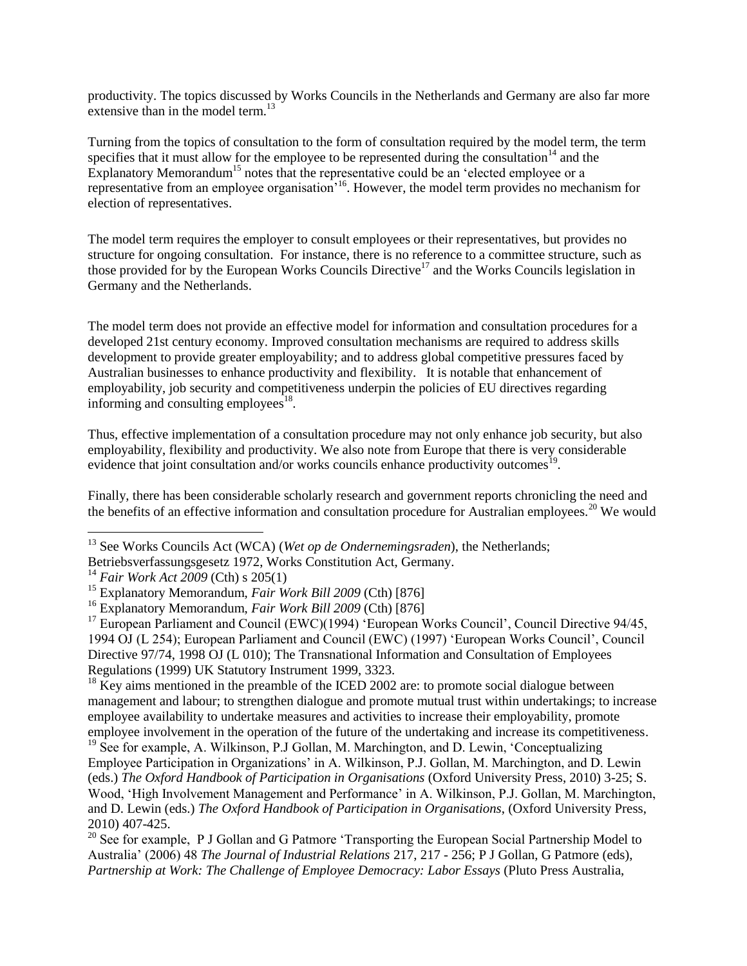productivity. The topics discussed by Works Councils in the Netherlands and Germany are also far more extensive than in the model term.<sup>13</sup>

Turning from the topics of consultation to the form of consultation required by the model term, the term specifies that it must allow for the employee to be represented during the consultation  $14$  and the Explanatory Memorandum<sup>15</sup> notes that the representative could be an 'elected employee or a representative from an employee organisation<sup>'16</sup>. However, the model term provides no mechanism for election of representatives.

The model term requires the employer to consult employees or their representatives, but provides no structure for ongoing consultation. For instance, there is no reference to a committee structure, such as those provided for by the European Works Councils Directive<sup>17</sup> and the Works Councils legislation in Germany and the Netherlands.

The model term does not provide an effective model for information and consultation procedures for a developed 21st century economy. Improved consultation mechanisms are required to address skills development to provide greater employability; and to address global competitive pressures faced by Australian businesses to enhance productivity and flexibility. It is notable that enhancement of employability, job security and competitiveness underpin the policies of EU directives regarding informing and consulting employees $18$ .

Thus, effective implementation of a consultation procedure may not only enhance job security, but also employability, flexibility and productivity. We also note from Europe that there is very considerable evidence that joint consultation and/or works councils enhance productivity outcomes<sup>19</sup>.

Finally, there has been considerable scholarly research and government reports chronicling the need and the benefits of an effective information and consultation procedure for Australian employees.<sup>20</sup> We would

 $\overline{a}$ 

 $^{18}$  Key aims mentioned in the preamble of the ICED 2002 are: to promote social dialogue between management and labour; to strengthen dialogue and promote mutual trust within undertakings; to increase employee availability to undertake measures and activities to increase their employability, promote employee involvement in the operation of the future of the undertaking and increase its competitiveness.

<sup>19</sup> See for example, A. Wilkinson, P.J Gollan, M. Marchington, and D. Lewin, 'Conceptualizing Employee Participation in Organizations' in A. Wilkinson, P.J. Gollan, M. Marchington, and D. Lewin (eds.) *The Oxford Handbook of Participation in Organisations* (Oxford University Press, 2010) 3-25; S. Wood, 'High Involvement Management and Performance' in A. Wilkinson, P.J. Gollan, M. Marchington, and D. Lewin (eds.) *The Oxford Handbook of Participation in Organisations*, (Oxford University Press, 2010) 407-425.

<sup>&</sup>lt;sup>13</sup> See Works Councils Act (WCA) (*Wet op de Ondernemingsraden*), the Netherlands;

Betriebsverfassungsgesetz 1972, Works Constitution Act, Germany.

<sup>14</sup> *Fair Work Act 2009* (Cth) s 205(1)

<sup>&</sup>lt;sup>15</sup> Explanatory Memorandum, *Fair Work Bill 2009* (Cth) [876]

<sup>16</sup> Explanatory Memorandum, *Fair Work Bill 2009* (Cth) [876]

<sup>&</sup>lt;sup>17</sup> European Parliament and Council (EWC)(1994) 'European Works Council', Council Directive 94/45, 1994 OJ (L 254); European Parliament and Council (EWC) (1997) 'European Works Council', Council Directive 97/74, 1998 OJ (L 010); The Transnational Information and Consultation of Employees Regulations (1999) UK Statutory Instrument 1999, 3323.

<sup>&</sup>lt;sup>20</sup> See for example, P J Gollan and G Patmore 'Transporting the European Social Partnership Model to Australia' (2006) 48 *The Journal of Industrial Relations* 217, 217 - 256; P J Gollan, G Patmore (eds), *Partnership at Work: The Challenge of Employee Democracy: Labor Essays* (Pluto Press Australia,